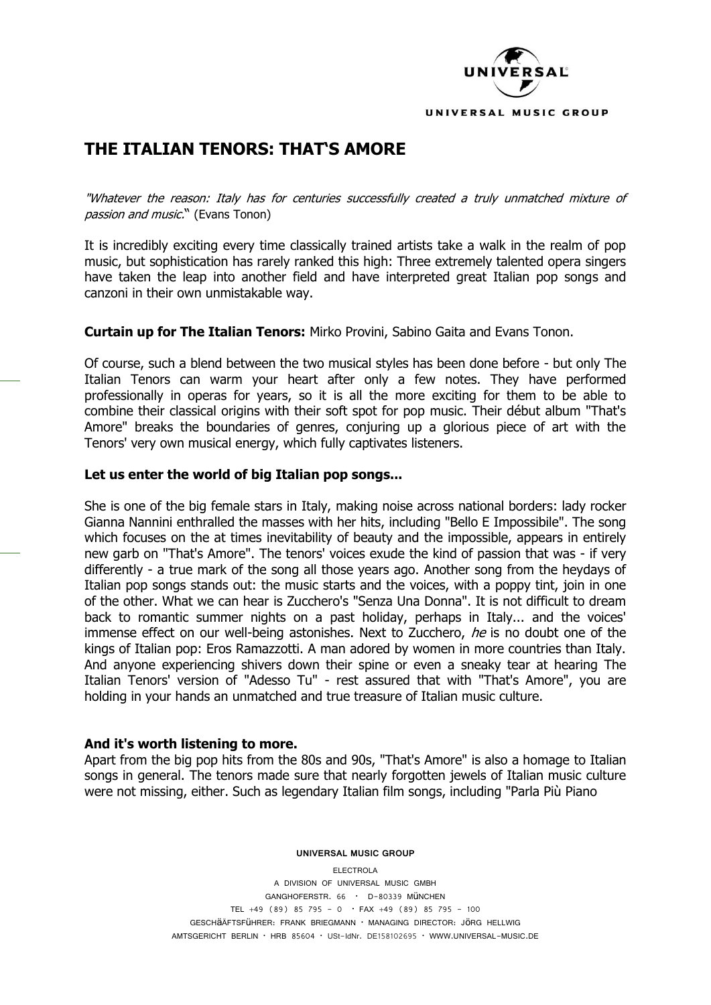

# **THE ITALIAN TENORS: THAT'S AMORE**

"Whatever the reason: Italy has for centuries successfully created a truly unmatched mixture of passion and music." (Evans Tonon)

It is incredibly exciting every time classically trained artists take a walk in the realm of pop music, but sophistication has rarely ranked this high: Three extremely talented opera singers have taken the leap into another field and have interpreted great Italian pop songs and canzoni in their own unmistakable way.

**Curtain up for The Italian Tenors:** Mirko Provini, Sabino Gaita and Evans Tonon.

Of course, such a blend between the two musical styles has been done before - but only The Italian Tenors can warm your heart after only a few notes. They have performed professionally in operas for years, so it is all the more exciting for them to be able to combine their classical origins with their soft spot for pop music. Their début album "That's Amore" breaks the boundaries of genres, conjuring up a glorious piece of art with the Tenors' very own musical energy, which fully captivates listeners.

# **Let us enter the world of big Italian pop songs...**

She is one of the big female stars in Italy, making noise across national borders: lady rocker Gianna Nannini enthralled the masses with her hits, including "Bello E Impossibile". The song which focuses on the at times inevitability of beauty and the impossible, appears in entirely new garb on "That's Amore". The tenors' voices exude the kind of passion that was - if very differently - a true mark of the song all those years ago. Another song from the heydays of Italian pop songs stands out: the music starts and the voices, with a poppy tint, join in one of the other. What we can hear is Zucchero's "Senza Una Donna". It is not difficult to dream back to romantic summer nights on a past holiday, perhaps in Italy... and the voices' immense effect on our well-being astonishes. Next to Zucchero, he is no doubt one of the kings of Italian pop: Eros Ramazzotti. A man adored by women in more countries than Italy. And anyone experiencing shivers down their spine or even a sneaky tear at hearing The Italian Tenors' version of "Adesso Tu" - rest assured that with "That's Amore", you are holding in your hands an unmatched and true treasure of Italian music culture.

#### **And it's worth listening to more.**

Apart from the big pop hits from the 80s and 90s, "That's Amore" is also a homage to Italian songs in general. The tenors made sure that nearly forgotten jewels of Italian music culture were not missing, either. Such as legendary Italian film songs, including "Parla Più Piano

**UNIVERSAL MUSIC GROUP**

ELECTROLA A DIVISION OF UNIVERSAL MUSIC GMBH GANGHOFERSTR. 66 • D-80339 MüNCHEN TEL +49 (89) 85 795 - 0  $\cdot$  FAX +49 (89) 85 795 - 100 GESCHäÄFTSFüHRER: FRANK BRIEGMANN • MANAGING DIRECTOR: JöRG HELLWIG AMTSGERICHT BERLIN • HRB 85604 • USt-IdNr. DE158102695 • WWW.UNIVERSAL-MUSIC.DE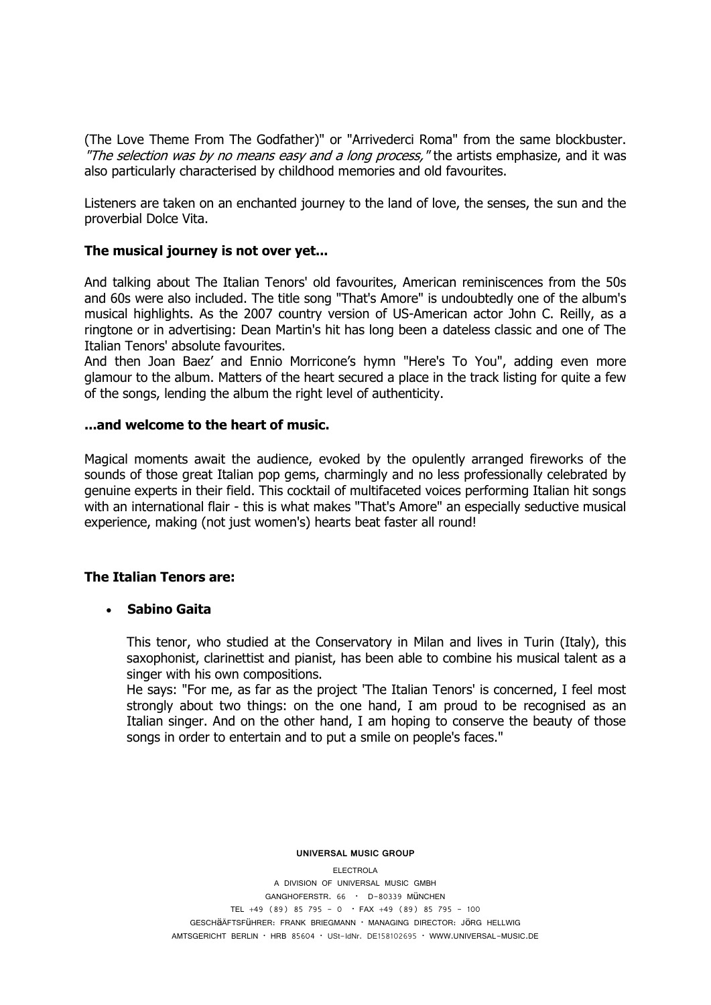(The Love Theme From The Godfather)" or "Arrivederci Roma" from the same blockbuster. "The selection was by no means easy and a long process," the artists emphasize, and it was also particularly characterised by childhood memories and old favourites.

Listeners are taken on an enchanted journey to the land of love, the senses, the sun and the proverbial Dolce Vita.

# **The musical journey is not over yet...**

And talking about The Italian Tenors' old favourites, American reminiscences from the 50s and 60s were also included. The title song "That's Amore" is undoubtedly one of the album's musical highlights. As the 2007 country version of US-American [actor](http://de.wikipedia.org/wiki/Schauspieler) John C. Reilly, as a ringtone or in advertising: Dean Martin's hit has long been a dateless classic and one of The Italian Tenors' absolute favourites.

And then Joan Baez' and Ennio Morricone's hymn "Here's To You", adding even more glamour to the album. Matters of the heart secured a place in the track listing for quite a few of the songs, lending the album the right level of authenticity.

# **...and welcome to the heart of music.**

Magical moments await the audience, evoked by the opulently arranged fireworks of the sounds of those great Italian pop gems, charmingly and no less professionally celebrated by genuine experts in their field. This cocktail of multifaceted voices performing Italian hit songs with an international flair - this is what makes "That's Amore" an especially seductive musical experience, making (not just women's) hearts beat faster all round!

# **The Italian Tenors are:**

# **Sabino Gaita**

This tenor, who studied at the Conservatory in Milan and lives in Turin (Italy), this saxophonist, clarinettist and pianist, has been able to combine his musical talent as a singer with his own compositions.

He says: "For me, as far as the project 'The Italian Tenors' is concerned, I feel most strongly about two things: on the one hand, I am proud to be recognised as an Italian singer. And on the other hand, I am hoping to conserve the beauty of those songs in order to entertain and to put a smile on people's faces."

**UNIVERSAL MUSIC GROUP**

ELECTROLA

A DIVISION OF UNIVERSAL MUSIC GMBH GANGHOFERSTR. 66 • D-80339 MüNCHEN TEL  $+49$  (89) 85 795 - 0  $\cdot$  FAX  $+49$  (89) 85 795 - 100 GESCHäÄFTSFüHRER: FRANK BRIEGMANN • MANAGING DIRECTOR: JöRG HELLWIG AMTSGERICHT BERLIN • HRB 85604 • USt-IdNr. DE158102695 • WWW.UNIVERSAL-MUSIC.DE